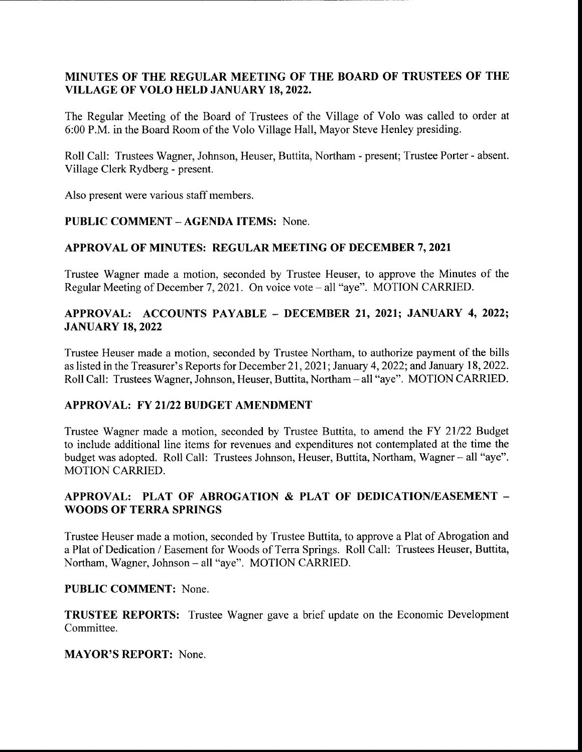## MINUTES OF THE REGULAR MEETING OF THE BOARD OF TRUSTEES OF THE VILLAGE OF VOLO HELD JANUARY 18, 2022.

The Regular Meeting of the Board of Trustees of the Village of Volo was called to order at 6:00 P.M. in the Board Room of the Volo Village Hall, Mayor Steve Henley presiding.

Roll Call: Trustees Wagner, Johnson, Heuser, Buttita, Northam- present; Trustee Porter- absent. Village Clerk Rydberg - present.

Also present were various staff members.

# PUBLIC COMMENT— AGENDA ITEMS: None.

### APPROVAL OF MINUTES: REGULAR MEETING OF DECEMBER 7, 2021

Trustee Wagner made <sup>a</sup> motion, seconded by Trustee Heuser, to approve the Minutes of the Regular Meeting of December 7, 2021. On voice vote – all "aye". MOTION CARRIED.

## APPROVAL: ACCOUNTS PAYABLE — DECEMBER 21, 2021; JANUARY 4, 2022; JANUARY 18, 2022

Trustee Heuser made <sup>a</sup> motion, seconded by Trustee Northam, to authorize payment of the bills as listed in the Treasurer's Reports for December 21, 2021; January 4, 2022; and January 18, 2022. Roll Call: Trustees Wagner, Johnson, Heuser, Buttita, Northam - all "aye". MOTION CARRIED.

### APPROVAL: FY 21/22 BUDGET AMENDMENT

Trustee Wagner made a motion, seconded by Trustee Buttita, to amend the FY 21/22 Budget to include additional line items for revenues and expenditures not contemplated at the time the budget was adopted. Roll Call: Trustees Johnson, Heuser, Buttita, Northam, Wagner – all "aye". MOTION CARRIED.

# APPROVAL: PLAT OF ABROGATION & PLAT OF DEDICATION/EASEMENT -WOODS OF TERRA SPRINGS

Trustee Heuser made a motion, seconded by Trustee Buttita, to approve <sup>a</sup> Plat of Abrogation and a Plat of Dedication/ Easement for Woods of Terra Springs. Roll Call: Trustees Heuser, Buttita, Northam, Wagner, Johnson— all " aye". MOTION CARRIED.

### PUBLIC COMMENT: None.

TRUSTEE REPORTS: Trustee Wagner gave a brief update on the Economic Development Committee.

### MAYOR'S REPORT: None.